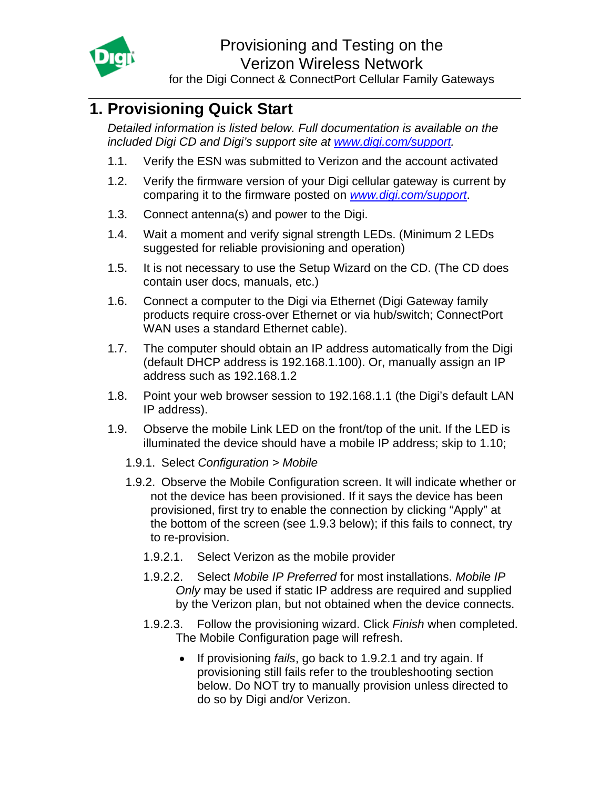<span id="page-0-0"></span>

for the Digi Connect & ConnectPort Cellular Family Gateways

# **1. Provisioning Quick Start**

*Detailed information is listed below. Full documentation is available on the included Digi CD and Digi's support site at [www.digi.com/support.](http://www.digi.com/support)* 

- 1.1. Verify the ESN was submitted to Verizon and the account activated
- 1.2. Verify the firmware version of your Digi cellular gateway is current by comparing it to the firmware posted on *[www.digi.com/support](http://www.digi.com/support)*.
- 1.3. Connect antenna(s) and power to the Digi.
- 1.4. Wait a moment and verify signal strength LEDs. (Minimum 2 LEDs suggested for reliable provisioning and operation)
- 1.5. It is not necessary to use the Setup Wizard on the CD. (The CD does contain user docs, manuals, etc.)
- 1.6. Connect a computer to the Digi via Ethernet (Digi Gateway family products require cross-over Ethernet or via hub/switch; ConnectPort WAN uses a standard Ethernet cable).
- 1.7. The computer should obtain an IP address automatically from the Digi (default DHCP address is 192.168.1.100). Or, manually assign an IP address such as 192.168.1.2
- 1.8. Point your web browser session to 192.168.1.1 (the Digi's default LAN IP address).
- 1.9. Observe the mobile Link LED on the front/top of the unit. If the LED is illuminated the device should have a mobile IP address; skip to 1.10;
	- 1.9.1. Select *Configuration > Mobile*
	- 1.9.2. Observe the Mobile Configuration screen. It will indicate whether or not the device has been provisioned. If it says the device has been provisioned, first try to enable the connection by clicking "Apply" at the bottom of the screen (see 1.9.3 below); if this fails to connect, try to re-provision.
		- 1.9.2.1. Select Verizon as the mobile provider
		- 1.9.2.2. Select *Mobile IP Preferred* for most installations. *Mobile IP Only* may be used if static IP address are required and supplied by the Verizon plan, but not obtained when the device connects.
		- 1.9.2.3. Follow the provisioning wizard. Click *Finish* when completed. The Mobile Configuration page will refresh.
			- If provisioning *fails*, go back to 1.9.2.1 and try again. If provisioning still fails refer to the troubleshooting section below. Do NOT try to manually provision unless directed to do so by Digi and/or Verizon.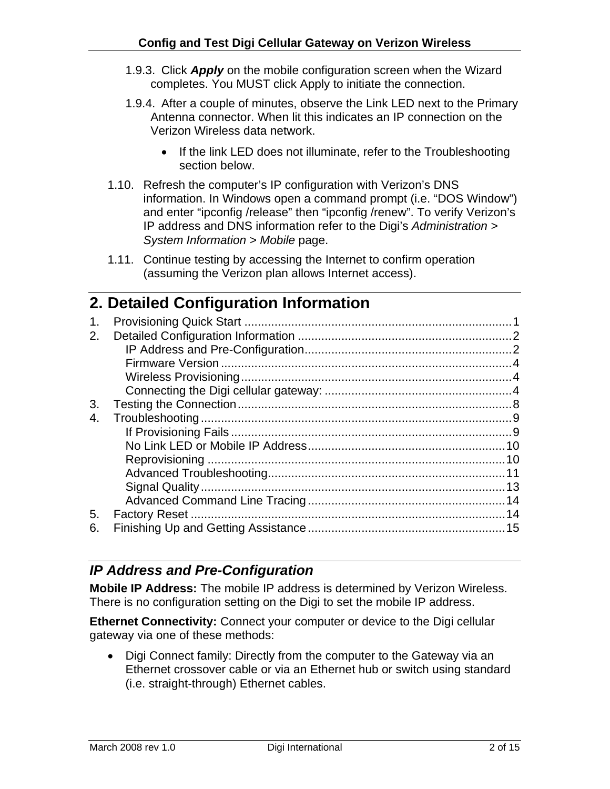- <span id="page-1-0"></span>1.9.3. Click *Apply* on the mobile configuration screen when the Wizard completes. You MUST click Apply to initiate the connection.
- 1.9.4. After a couple of minutes, observe the Link LED next to the Primary Antenna connector. When lit this indicates an IP connection on the Verizon Wireless data network.
	- If the link LED does not illuminate, refer to the Troubleshooting section below.
- 1.10. Refresh the computer's IP configuration with Verizon's DNS information. In Windows open a command prompt (i.e. "DOS Window") and enter "ipconfig /release" then "ipconfig /renew". To verify Verizon's IP address and DNS information refer to the Digi's *Administration > System Information > Mobile* page.
- 1.11. Continue testing by accessing the Internet to confirm operation (assuming the Verizon plan allows Internet access).

## **2. Detailed Configuration Information**

### *IP Address and Pre-Configuration*

**Mobile IP Address:** The mobile IP address is determined by Verizon Wireless. There is no configuration setting on the Digi to set the mobile IP address.

**Ethernet Connectivity:** Connect your computer or device to the Digi cellular gateway via one of these methods:

• Digi Connect family: Directly from the computer to the Gateway via an Ethernet crossover cable or via an Ethernet hub or switch using standard (i.e. straight-through) Ethernet cables.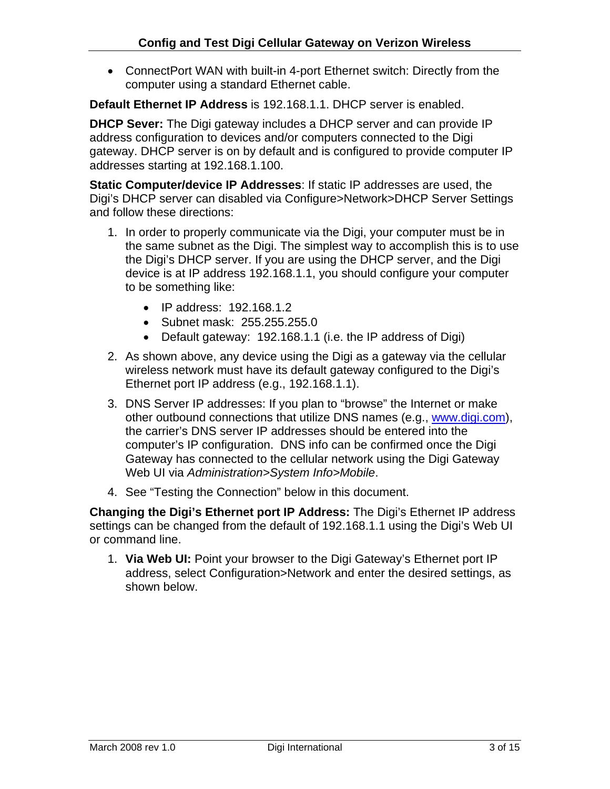• ConnectPort WAN with built-in 4-port Ethernet switch: Directly from the computer using a standard Ethernet cable.

**Default Ethernet IP Address** is 192.168.1.1. DHCP server is enabled.

**DHCP Sever:** The Digi gateway includes a DHCP server and can provide IP address configuration to devices and/or computers connected to the Digi gateway. DHCP server is on by default and is configured to provide computer IP addresses starting at 192.168.1.100.

**Static Computer/device IP Addresses**: If static IP addresses are used, the Digi's DHCP server can disabled via Configure>Network>DHCP Server Settings and follow these directions:

- 1. In order to properly communicate via the Digi, your computer must be in the same subnet as the Digi. The simplest way to accomplish this is to use the Digi's DHCP server. If you are using the DHCP server, and the Digi device is at IP address 192.168.1.1, you should configure your computer to be something like:
	- IP address: 192.168.1.2
	- Subnet mask: 255.255.255.0
	- Default gateway: 192.168.1.1 (i.e. the IP address of Digi)
- 2. As shown above, any device using the Digi as a gateway via the cellular wireless network must have its default gateway configured to the Digi's Ethernet port IP address (e.g., 192.168.1.1).
- 3. DNS Server IP addresses: If you plan to "browse" the Internet or make other outbound connections that utilize DNS names (e.g., www.digi.com), the carrier's DNS server IP addresses should be entered into the computer's IP configuration. DNS info can be confirmed once the Digi Gateway has connected to the cellular network using the Digi Gateway Web UI via *Administration>System Info>Mobile*.
- 4. See "Testing the Connection" below in this document.

**Changing the Digi's Ethernet port IP Address:** The Digi's Ethernet IP address settings can be changed from the default of 192.168.1.1 using the Digi's Web UI or command line.

1. **Via Web UI:** Point your browser to the Digi Gateway's Ethernet port IP address, select Configuration>Network and enter the desired settings, as shown below.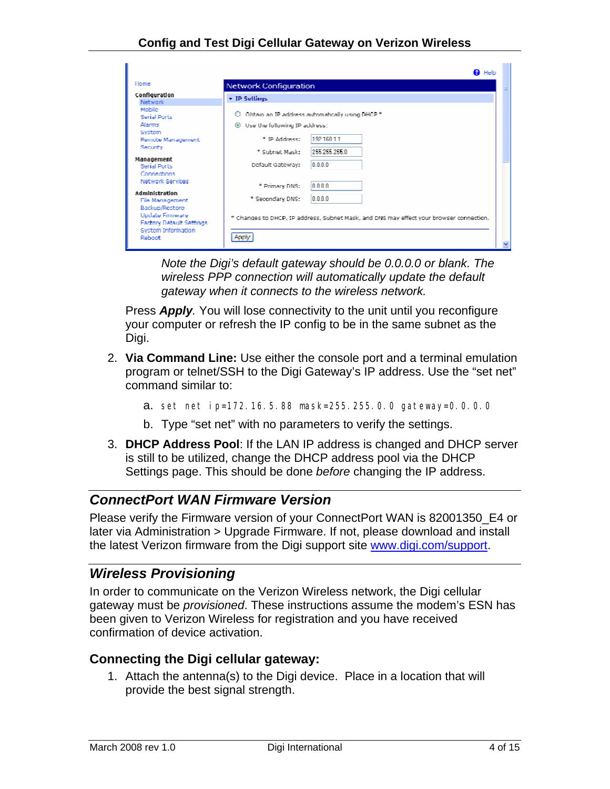<span id="page-3-0"></span>

|                                                                                                |                                    | <b>B</b> Help                                                                           |  |
|------------------------------------------------------------------------------------------------|------------------------------------|-----------------------------------------------------------------------------------------|--|
| Hnme                                                                                           | Network Configuration              |                                                                                         |  |
| <b>Configuration</b><br>Network.                                                               | $\star$ IP Settings                |                                                                                         |  |
| Mobile <sub>1</sub><br>Serial Ports                                                            | Ω                                  | Obtain an IP address automatically using DHCP *                                         |  |
| Alarms<br>System                                                                               | Use the following IP address:<br>⊛ |                                                                                         |  |
| Remote Management<br><b>Security</b>                                                           | * ID oriningser                    | 19216811                                                                                |  |
| Management                                                                                     | * Suhnet Mask:                     | 255 255 255 (L                                                                          |  |
| <b>Serial Ports</b><br>Connections                                                             | Default Gateway:                   | in minim                                                                                |  |
| Network Services                                                                               | * Primary DNS:                     | 0.0.0.0                                                                                 |  |
| <b>Administration</b><br>File Management                                                       | * Secondary DNS:                   | in nin n                                                                                |  |
| Backup/Restore<br>Update Firmware<br>Factory Default Settings<br>System Information<br>Rehnott | Apply                              | * Changes to DHCP, IP address, Subnet Mask, and DNS may effect your browser connection. |  |
|                                                                                                |                                    |                                                                                         |  |

*Note the Digi's default gateway should be 0.0.0.0 or blank. The wireless PPP connection will automatically update the default gateway when it connects to the wireless network.* 

Press *Apply.* You will lose connectivity to the unit until you reconfigure your computer or refresh the IP config to be in the same subnet as the Digi.

- 2. **Via Command Line:** Use either the console port and a terminal emulation program or telnet/SSH to the Digi Gateway's IP address. Use the "set net" command similar to:
	- a. set net ip=172.16.5.88 mask=255.255.0.0 gateway=0.0.0.0
	- b. Type "set net" with no parameters to verify the settings.
- 3. **DHCP Address Pool**: If the LAN IP address is changed and DHCP server is still to be utilized, change the DHCP address pool via the DHCP Settings page. This should be done *before* changing the IP address.

#### *ConnectPort WAN Firmware Version*

Please verify the Firmware version of your ConnectPort WAN is 82001350\_E4 or later via Administration > Upgrade Firmware. If not, please download and install the latest Verizon firmware from the Digi support site [www.digi.com/support](http://www.digi.com/support).

#### *Wireless Provisioning*

In order to communicate on the Verizon Wireless network, the Digi cellular gateway must be *provisioned*. These instructions assume the modem's ESN has been given to Verizon Wireless for registration and you have received confirmation of device activation.

#### **Connecting the Digi cellular gateway:**

1. Attach the antenna(s) to the Digi device. Place in a location that will provide the best signal strength.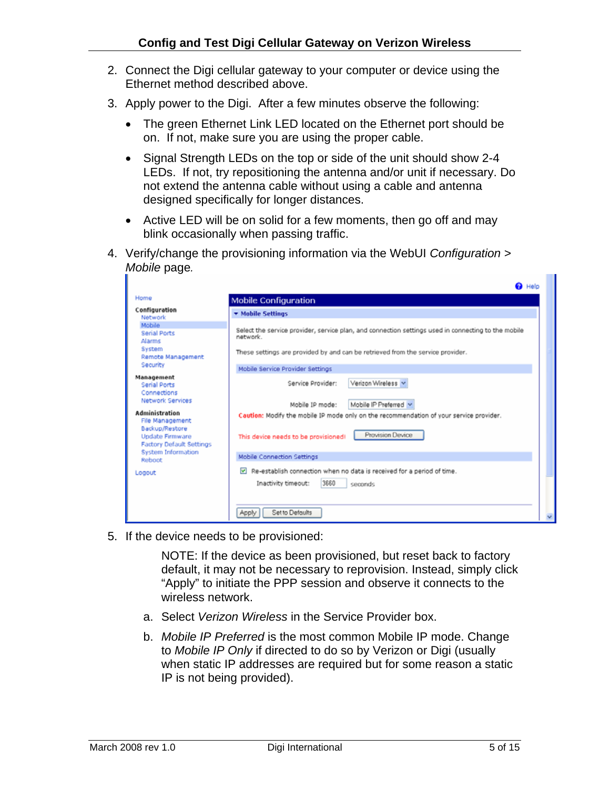- 2. Connect the Digi cellular gateway to your computer or device using the Ethernet method described above.
- 3. Apply power to the Digi. After a few minutes observe the following:
	- The green Ethernet Link LED located on the Ethernet port should be on. If not, make sure you are using the proper cable.
	- Signal Strength LEDs on the top or side of the unit should show 2-4 LEDs. If not, try repositioning the antenna and/or unit if necessary. Do not extend the antenna cable without using a cable and antenna designed specifically for longer distances.
	- Active LED will be on solid for a few moments, then go off and may blink occasionally when passing traffic.
- 4. Verify/change the provisioning information via the WebUI *Configuration > Mobile* page*.*

|                                                                      | @ Help                                                                                                           |
|----------------------------------------------------------------------|------------------------------------------------------------------------------------------------------------------|
| Home                                                                 | <b>Mobile Configuration</b>                                                                                      |
| Configuration<br>Network                                             | ▼ Mobile Settings                                                                                                |
| Mobile<br><b>Serial Ports</b><br>Alarms                              | Select the service provider, service plan, and connection settings used in connecting to the mobile<br>network.  |
| System<br>Remote Management                                          | These settings are provided by and can be retrieved from the service provider.                                   |
| Security                                                             | Mobile Service Provider Settings                                                                                 |
| Management<br><b>Serial Ports</b><br>Connections                     | Verizon Wireless<br>Service Provider:                                                                            |
| <b>Network Services</b>                                              | Mobile IP Preferred v<br>Mobile IP mode:                                                                         |
| Administration<br>File Management                                    | Caution: Modify the mobile IP mode only on the recommendation of your service provider.                          |
| Backup/Restore<br>Update Firmware<br><b>Factory Default Settings</b> | Provision Device<br>This device needs to be provisioned!                                                         |
| <b>System Information</b><br>Reboot                                  | Mobile Connection Settings                                                                                       |
| Logout                                                               | Re-establish connection when no data is received for a period of time.<br>3660<br>Inactivity timeout:<br>seconds |
|                                                                      | Set to Defaults<br>Apply                                                                                         |

5. If the device needs to be provisioned:

NOTE: If the device as been provisioned, but reset back to factory default, it may not be necessary to reprovision. Instead, simply click "Apply" to initiate the PPP session and observe it connects to the wireless network.

- a. Select *Verizon Wireless* in the Service Provider box.
- b. *Mobile IP Preferred* is the most common Mobile IP mode. Change to *Mobile IP Only* if directed to do so by Verizon or Digi (usually when static IP addresses are required but for some reason a static IP is not being provided).

**TIP**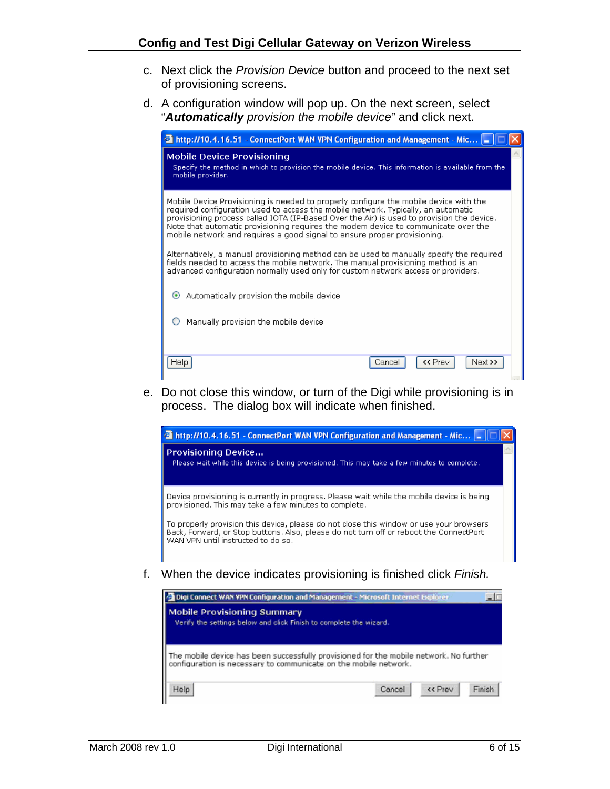#### **Config and Test Digi Cellular Gateway on Verizon Wireless**

- c. Next click the *Provision Device* button and proceed to the next set of provisioning screens.
- d. A configuration window will pop up. On the next screen, select "*Automatically provision the mobile device"* and click next.

| http://10.4.16.51 - ConnectPort WAN VPN Configuration and Management - Mic                                                                                                                                                                                                                                                                                                                                                                |
|-------------------------------------------------------------------------------------------------------------------------------------------------------------------------------------------------------------------------------------------------------------------------------------------------------------------------------------------------------------------------------------------------------------------------------------------|
| <b>Mobile Device Provisioning</b><br>Specify the method in which to provision the mobile device. This information is available from the<br>mobile provider.                                                                                                                                                                                                                                                                               |
| Mobile Device Provisioning is needed to properly configure the mobile device with the<br>required configuration used to access the mobile network. Typically, an automatic<br>provisioning process called IOTA (IP-Based Over the Air) is used to provision the device.<br>Note that automatic provisioning requires the modem device to communicate over the<br>mobile network and requires a good signal to ensure proper provisioning. |
| Alternatively, a manual provisioning method can be used to manually specify the required<br>fields needed to access the mobile network. The manual provisioning method is an<br>advanced configuration normally used only for custom network access or providers.                                                                                                                                                                         |
| Automatically provision the mobile device                                                                                                                                                                                                                                                                                                                                                                                                 |
| Manually provision the mobile device                                                                                                                                                                                                                                                                                                                                                                                                      |
| << Prev<br>Help<br>Next >><br>Cancel                                                                                                                                                                                                                                                                                                                                                                                                      |

e. Do not close this window, or turn of the Digi while provisioning is in process. The dialog box will indicate when finished.



| Digi Connect WAN VPN Configuration and Management - Microsoft Internet Explorer                          |                                                                                        |        |
|----------------------------------------------------------------------------------------------------------|----------------------------------------------------------------------------------------|--------|
| <b>Mobile Provisioning Summary</b><br>Verify the settings below and click Finish to complete the wizard. |                                                                                        |        |
| configuration is necessary to communicate on the mobile network.                                         | The mobile device has been successfully provisioned for the mobile network. No further |        |
| Help                                                                                                     | << Prev<br>Cancel                                                                      | Finish |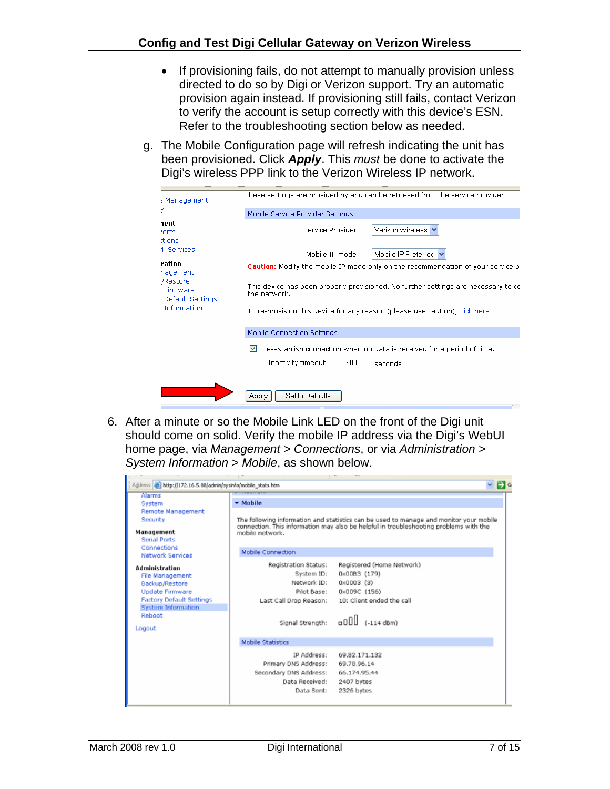- If provisioning fails, do not attempt to manually provision unless directed to do so by Digi or Verizon support. Try an automatic provision again instead. If provisioning still fails, contact Verizon to verify the account is setup correctly with this device's ESN. Refer to the troubleshooting section below as needed.
- g. The Mobile Configuration page will refresh indicating the unit has been provisioned. Click *Apply*. This *must* be done to activate the Digi's wireless PPP link to the Verizon Wireless IP network.

| a Management                                 | These settings are provided by and can be retrieved from the service provider.                                        |  |  |  |  |
|----------------------------------------------|-----------------------------------------------------------------------------------------------------------------------|--|--|--|--|
| у                                            | Mobile Service Provider Settings                                                                                      |  |  |  |  |
| nent<br><sup>1</sup> orts<br>tions           | Verizon Wireless<br>Service Provider:                                                                                 |  |  |  |  |
| *k Services                                  | Mobile IP Preferred V<br>Mobile IP mode:                                                                              |  |  |  |  |
| ration<br>nagement                           | <b>Caution:</b> Modify the mobile IP mode only on the recommendation of your service p                                |  |  |  |  |
| /Restore<br>: Firmware<br>· Default Settings | This device has been properly provisioned. No further settings are necessary to cc.<br>the network.                   |  |  |  |  |
| i Information                                | To re-provision this device for any reason (please use caution), click here.                                          |  |  |  |  |
|                                              | Mobile Connection Settings                                                                                            |  |  |  |  |
|                                              | M<br>Re-establish connection when no data is received for a period of time.<br>3600<br>Inactivity timeout:<br>seconds |  |  |  |  |
|                                              | Set to Defaults<br>Apply                                                                                              |  |  |  |  |

6. After a minute or so the Mobile Link LED on the front of the Digi unit should come on solid. Verify the mobile IP address via the Digi's WebUI home page, via *Management > Connections*, or via *Administration > System Information > Mobile*, as shown below.

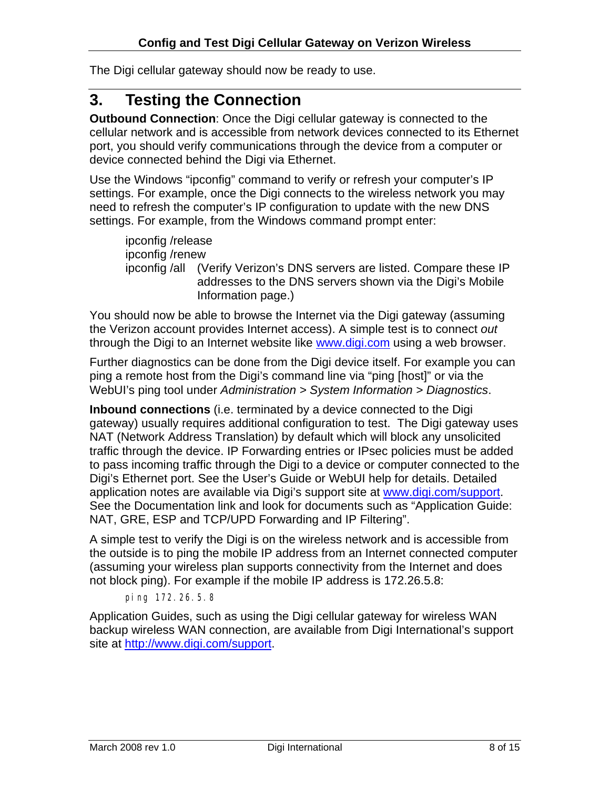<span id="page-7-0"></span>The Digi cellular gateway should now be ready to use.

## **3. Testing the Connection**

**Outbound Connection**: Once the Digi cellular gateway is connected to the cellular network and is accessible from network devices connected to its Ethernet port, you should verify communications through the device from a computer or device connected behind the Digi via Ethernet.

Use the Windows "ipconfig" command to verify or refresh your computer's IP settings. For example, once the Digi connects to the wireless network you may need to refresh the computer's IP configuration to update with the new DNS settings. For example, from the Windows command prompt enter:

ipconfig /release ipconfig /renew ipconfig /all (Verify Verizon's DNS servers are listed. Compare these IP addresses to the DNS servers shown via the Digi's Mobile Information page.)

You should now be able to browse the Internet via the Digi gateway (assuming the Verizon account provides Internet access). A simple test is to connect *out* through the Digi to an Internet website like [www.digi.com](http://www.digi.com/) using a web browser.

Further diagnostics can be done from the Digi device itself. For example you can ping a remote host from the Digi's command line via "ping [host]" or via the WebUI's ping tool under *Administration > System Information > Diagnostics*.

**Inbound connections** (i.e. terminated by a device connected to the Digi gateway) usually requires additional configuration to test. The Digi gateway uses NAT (Network Address Translation) by default which will block any unsolicited traffic through the device. IP Forwarding entries or IPsec policies must be added to pass incoming traffic through the Digi to a device or computer connected to the Digi's Ethernet port. See the User's Guide or WebUI help for details. Detailed application notes are available via Digi's support site at [www.digi.com/support](http://www.digi.com/support). See the Documentation link and look for documents such as "Application Guide: NAT, GRE, ESP and TCP/UPD Forwarding and IP Filtering".

A simple test to verify the Digi is on the wireless network and is accessible from the outside is to ping the mobile IP address from an Internet connected computer (assuming your wireless plan supports connectivity from the Internet and does not block ping). For example if the mobile IP address is 172.26.5.8:

ping 172.26.5.8

Application Guides, such as using the Digi cellular gateway for wireless WAN backup wireless WAN connection, are available from Digi International's support site at [http://www.digi.com/support.](http://www.digi.com/support)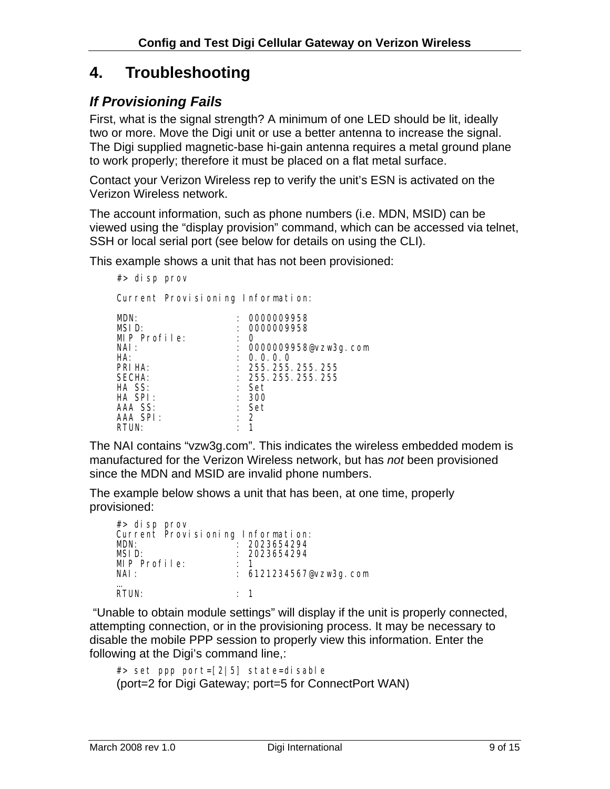# <span id="page-8-0"></span>**4. Troubleshooting**

#### *If Provisioning Fails*

First, what is the signal strength? A minimum of one LED should be lit, ideally two or more. Move the Digi unit or use a better antenna to increase the signal. The Digi supplied magnetic-base hi-gain antenna requires a metal ground plane to work properly; therefore it must be placed on a flat metal surface.

Contact your Verizon Wireless rep to verify the unit's ESN is activated on the Verizon Wireless network.

The account information, such as phone numbers (i.e. MDN, MSID) can be viewed using the "display provision" command, which can be accessed via telnet, SSH or local serial port (see below for details on using the CLI).

This example shows a unit that has not been provisioned:

#> disp prov

Current Provisioning Information:

| MDN:         |                      | 0000009958             |
|--------------|----------------------|------------------------|
| MSID:        |                      | 0000009958             |
| MIP Profile: |                      | O                      |
| NAI :        |                      | : 0000009958@vzw3g.com |
| HA:          |                      | : 0.0.0.0              |
| PRI HA:      |                      | : 255.255.255.255      |
| SECHA:       |                      | : 255.255.255.255      |
| HA SS:       |                      | : Set                  |
| $HA$ SPI:    |                      | : 300                  |
| AAA SS:      |                      | : Set                  |
| AAA SPI:     | $\ddot{\phantom{a}}$ | $\overline{2}$         |
| RTUN:        |                      |                        |

The NAI contains "vzw3g.com". This indicates the wireless embedded modem is manufactured for the Verizon Wireless network, but has *not* been provisioned since the MDN and MSID are invalid phone numbers.

The example below shows a unit that has been, at one time, properly provisioned:

| #> disp prov                      |           |                        |
|-----------------------------------|-----------|------------------------|
| Current Provisioning Information: |           |                        |
| MDN:                              |           | 2023654294             |
| MSID:                             |           | : 2023654294           |
| $MIP$ Profile:                    |           |                        |
| NAI:                              |           | : 6121234567@vzw3g.com |
| $RT$ UN:                          | $\cdot$ 1 |                        |

 "Unable to obtain module settings" will display if the unit is properly connected, attempting connection, or in the provisioning process. It may be necessary to disable the mobile PPP session to properly view this information. Enter the following at the Digi's command line,:

```
#> set ppp port=[2|5] state=disable 
(port=2 for Digi Gateway; port=5 for ConnectPort WAN)
```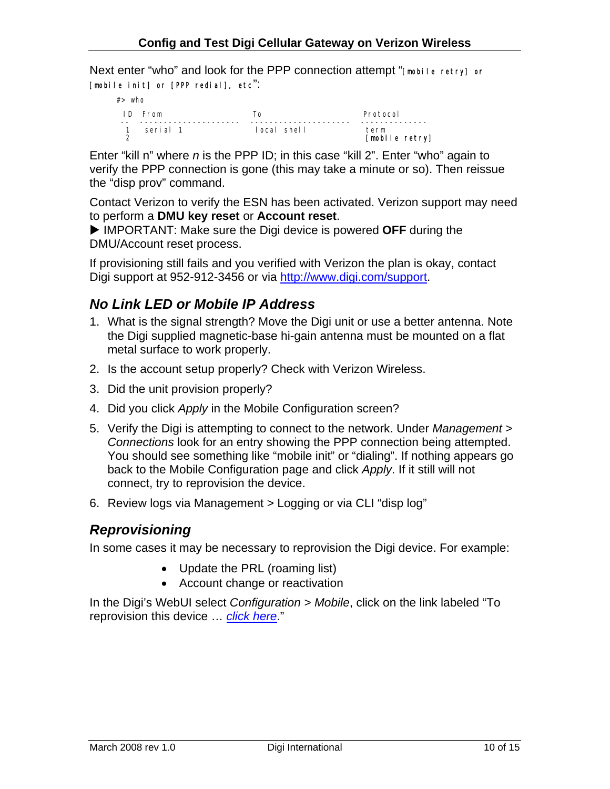<span id="page-9-0"></span>Next enter "who" and look for the PPP connection attempt "[mobile retry] or [mobile init] or [PPP redial], etc":



Enter "kill n" where *n* is the PPP ID; in this case "kill 2". Enter "who" again to verify the PPP connection is gone (this may take a minute or so). Then reissue the "disp prov" command.

Contact Verizon to verify the ESN has been activated. Verizon support may need to perform a **DMU key reset** or **Account reset**.

▶ IMPORTANT: Make sure the Digi device is powered OFF during the DMU/Account reset process.

If provisioning still fails and you verified with Verizon the plan is okay, contact Digi support at 952-912-3456 or via [http://www.digi.com/support.](http://www.digi.com/support)

### *No Link LED or Mobile IP Address*

- 1. What is the signal strength? Move the Digi unit or use a better antenna. Note the Digi supplied magnetic-base hi-gain antenna must be mounted on a flat metal surface to work properly.
- 2. Is the account setup properly? Check with Verizon Wireless.
- 3. Did the unit provision properly?
- 4. Did you click *Apply* in the Mobile Configuration screen?
- 5. Verify the Digi is attempting to connect to the network. Under *Management > Connections* look for an entry showing the PPP connection being attempted. You should see something like "mobile init" or "dialing". If nothing appears go back to the Mobile Configuration page and click *Apply*. If it still will not connect, try to reprovision the device.
- 6. Review logs via Management > Logging or via CLI "disp log"

#### *Reprovisioning*

In some cases it may be necessary to reprovision the Digi device. For example:

- Update the PRL (roaming list)
- Account change or reactivation

In the Digi's WebUI select *Configuration > Mobile*, click on the link labeled "To reprovision this device … *click here*."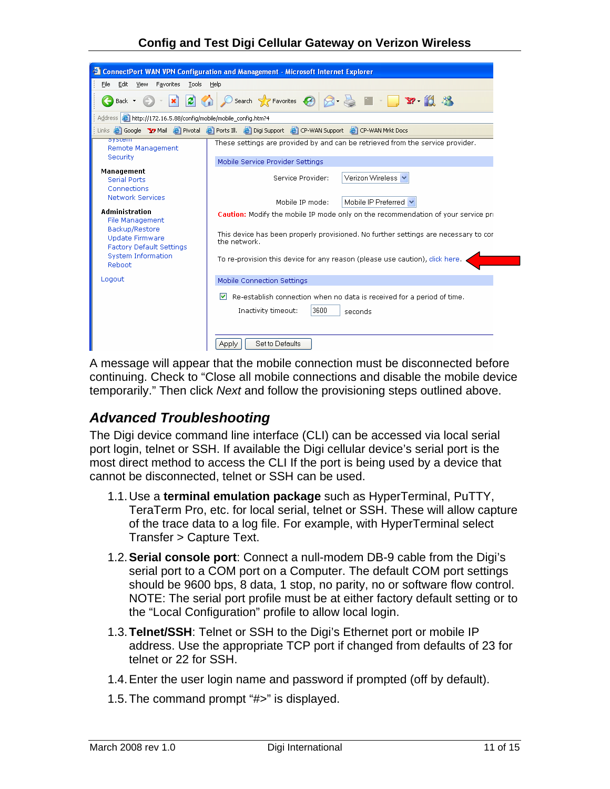#### **Config and Test Digi Cellular Gateway on Verizon Wireless**

<span id="page-10-0"></span>

A message will appear that the mobile connection must be disconnected before continuing. Check to "Close all mobile connections and disable the mobile device temporarily." Then click *Next* and follow the provisioning steps outlined above.

#### *Advanced Troubleshooting*

The Digi device command line interface (CLI) can be accessed via local serial port login, telnet or SSH. If available the Digi cellular device's serial port is the most direct method to access the CLI If the port is being used by a device that cannot be disconnected, telnet or SSH can be used.

- 1.1. Use a **terminal emulation package** such as HyperTerminal, PuTTY, TeraTerm Pro, etc. for local serial, telnet or SSH. These will allow capture of the trace data to a log file. For example, with HyperTerminal select Transfer > Capture Text.
- 1.2. **Serial console port**: Connect a null-modem DB-9 cable from the Digi's serial port to a COM port on a Computer. The default COM port settings should be 9600 bps, 8 data, 1 stop, no parity, no or software flow control. NOTE: The serial port profile must be at either factory default setting or to the "Local Configuration" profile to allow local login.
- 1.3. **Telnet/SSH**: Telnet or SSH to the Digi's Ethernet port or mobile IP address. Use the appropriate TCP port if changed from defaults of 23 for telnet or 22 for SSH.
- 1.4. Enter the user login name and password if prompted (off by default).
- 1.5. The command prompt "#>" is displayed.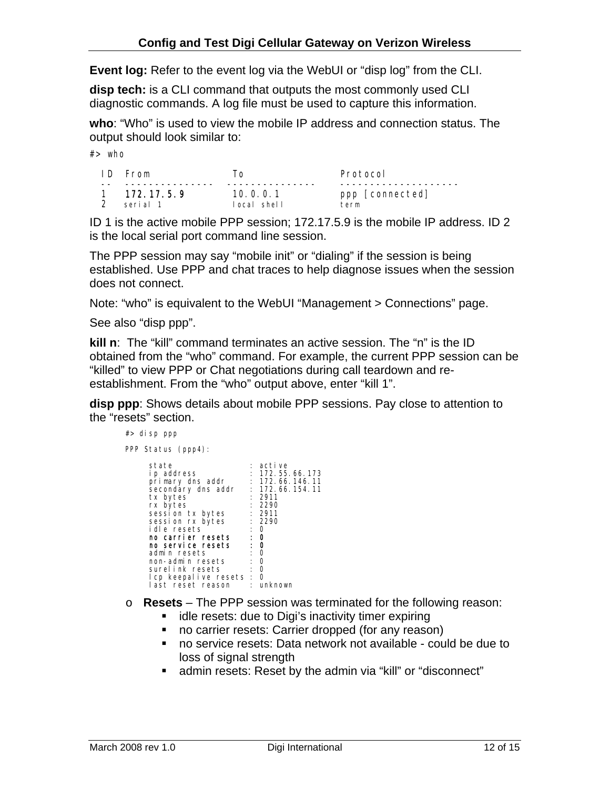**Event log:** Refer to the event log via the WebUI or "disp log" from the CLI.

**disp tech:** is a CLI command that outputs the most commonly used CLI diagnostic commands. A log file must be used to capture this information.

**who**: "Who" is used to view the mobile IP address and connection status. The output should look similar to:

 $#$  who

| ID From      | I O         | Protocol        |
|--------------|-------------|-----------------|
| 1 172.17.5.9 | 10.0.0.1    | ppp [connected] |
| serial 1     | local shell | term            |

ID 1 is the active mobile PPP session; 172.17.5.9 is the mobile IP address. ID 2 is the local serial port command line session.

The PPP session may say "mobile init" or "dialing" if the session is being established. Use PPP and chat traces to help diagnose issues when the session does not connect.

Note: "who" is equivalent to the WebUI "Management > Connections" page.

See also "disp ppp".

**kill n**: The "kill" command terminates an active session. The "n" is the ID obtained from the "who" command. For example, the current PPP session can be "killed" to view PPP or Chat negotiations during call teardown and reestablishment. From the "who" output above, enter "kill 1".

**disp ppp**: Shows details about mobile PPP sessions. Pay close to attention to the "resets" section.

| #> disp ppp                                                                                                                                                                                                                                                                                    |            |                                                                                                                                                                             |
|------------------------------------------------------------------------------------------------------------------------------------------------------------------------------------------------------------------------------------------------------------------------------------------------|------------|-----------------------------------------------------------------------------------------------------------------------------------------------------------------------------|
| PPP Status (ppp4):                                                                                                                                                                                                                                                                             |            |                                                                                                                                                                             |
| state<br>ip address<br>primary dns addr<br>secondary dns addr<br>tx bytes<br>rx bytes<br>session tx bytes<br>session rx bytes<br>idle resets<br>no carrier resets<br>no service resets<br>admin resets<br>non-admin resets<br>surelink resets<br>lcp keepalive resets : 0<br>last reset reason | : 0<br>∴ 0 | : active<br>: 172.55.66.173<br>: 172.66.146.11<br>: 172.66.154.11<br>: 2911<br>: 2290<br>: 2911<br>: 2290<br>$\mathbf{0}$<br>$\mathbf{0}$<br>$\mathbf{0}$<br>0<br>: unknown |

- o **Resets** The PPP session was terminated for the following reason:
	- $\blacksquare$  idle resets: due to Digi's inactivity timer expiring
	- **no carrier resets: Carrier dropped (for any reason)**
	- no service resets: Data network not available could be due to loss of signal strength
	- admin resets: Reset by the admin via "kill" or "disconnect"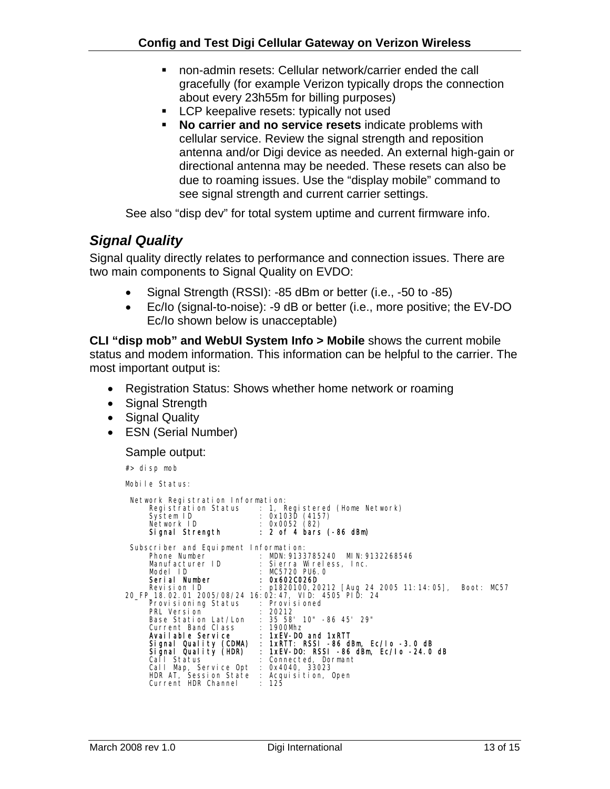- <span id="page-12-0"></span>■ non-admin resets: Cellular network/carrier ended the call gracefully (for example Verizon typically drops the connection about every 23h55m for billing purposes)
- **LCP** keepalive resets: typically not used
- **No carrier and no service resets** indicate problems with cellular service. Review the signal strength and reposition antenna and/or Digi device as needed. An external high-gain or directional antenna may be needed. These resets can also be due to roaming issues. Use the "display mobile" command to see signal strength and current carrier settings.

See also "disp dev" for total system uptime and current firmware info.

### *Signal Quality*

Signal quality directly relates to performance and connection issues. There are two main components to Signal Quality on EVDO:

- Signal Strength (RSSI): -85 dBm or better (i.e., -50 to -85)
- Ec/Io (signal-to-noise): -9 dB or better (i.e., more positive; the EV-DO Ec/Io shown below is unacceptable)

**CLI "disp mob" and WebUI System Info > Mobile** shows the current mobile status and modem information. This information can be helpful to the carrier. The most important output is:

- Registration Status: Shows whether home network or roaming
- Signal Strength
- Signal Quality
- ESN (Serial Number)

Sample output:

#> disp mob

Mobile Status:

| Network Registration Information:                                                                                                                | Registration Status : 1, Registered (Home Network)<br>System ID : 0x103D (4157)<br>Network ID : 0x0052 (82)<br>Signal Strength : 2 of 4 bars (-86 dBm)                                                                                                                                                                                                                                                                                                                                                                                                                           |  |
|--------------------------------------------------------------------------------------------------------------------------------------------------|----------------------------------------------------------------------------------------------------------------------------------------------------------------------------------------------------------------------------------------------------------------------------------------------------------------------------------------------------------------------------------------------------------------------------------------------------------------------------------------------------------------------------------------------------------------------------------|--|
| Subscriber and Equipment Information:<br>Provisioning Status : Provisioned<br>Call Map, Service Opt : 0x4040, 33023<br>Current HDR Channel : 125 | Phone Number<br>MDN: 9133785240 MIN: 9132268546<br>Manufacturer ID : Sierra Wireless, Inc.<br>Model ID : MC5720 PU6. 0<br><b>Serial Number : 0x602C026D</b><br>Revision ID : p1820100, 20212 [Aug 24 2005 11:14:05], Boot: MC57<br>20_FP_18.02.01_2005/08/24_16:02:47,_VID:_4505_PID:_24<br>Current Band Class : 1900Mhz<br>Available Service : 1xEV-DO and 1xRTT<br>Signal Quality (CDMA) : 1xRTT: RSSI -86_dBm, Ec/lo -3.0_dB<br>Signal Quality (HDR) : 1xEV-DO: RSSI -86 dBm, Ec/lo -24.0 dB<br>Call Status : Connected, Dormant<br>HDR AT, Session State : Acquisition, Open |  |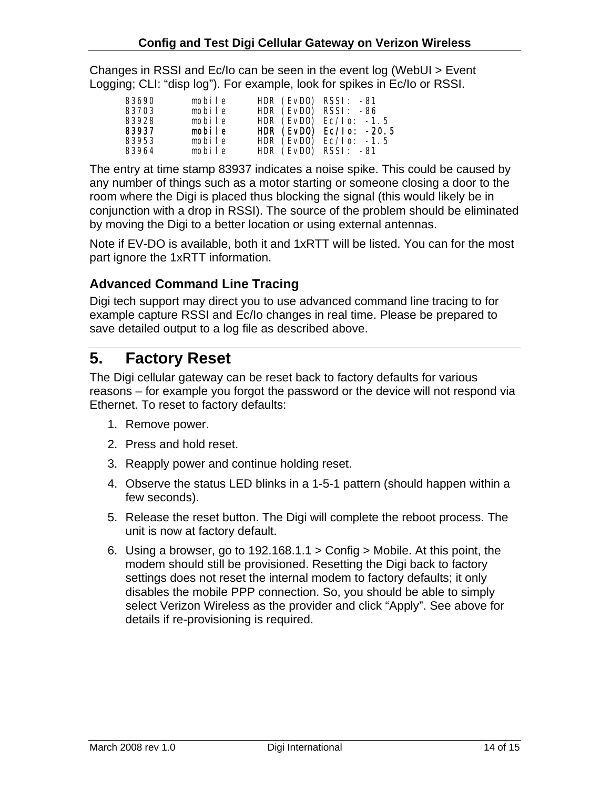<span id="page-13-0"></span>Changes in RSSI and Ec/Io can be seen in the event log (WebUI > Event Logging; CLI: "disp log"). For example, look for spikes in Ec/Io or RSSI.

| 83690 | mobile | HDR (EvDO) RSSI: -81                                    |  |
|-------|--------|---------------------------------------------------------|--|
| 83703 | mobile | HDR $(EVDO)$ RSSI: $-86$                                |  |
| 83928 | mobile | HDR $(EVDO)$ Ec/l o: -1.5                               |  |
|       |        |                                                         |  |
| 83937 | mobile |                                                         |  |
| 83953 | mobile | HDR $(EVDO)$ Ec/l o: -20.5<br>HDR $(EVDO)$ Ec/l o: -1.5 |  |

The entry at time stamp 83937 indicates a noise spike. This could be caused by any number of things such as a motor starting or someone closing a door to the room where the Digi is placed thus blocking the signal (this would likely be in conjunction with a drop in RSSI). The source of the problem should be eliminated by moving the Digi to a better location or using external antennas.

Note if EV-DO is available, both it and 1xRTT will be listed. You can for the most part ignore the 1xRTT information.

#### **Advanced Command Line Tracing**

Digi tech support may direct you to use advanced command line tracing to for example capture RSSI and Ec/Io changes in real time. Please be prepared to save detailed output to a log file as described above.

### **5. Factory Reset**

The Digi cellular gateway can be reset back to factory defaults for various reasons – for example you forgot the password or the device will not respond via Ethernet. To reset to factory defaults:

- 1. Remove power.
- 2. Press and hold reset.
- 3. Reapply power and continue holding reset.
- 4. Observe the status LED blinks in a 1-5-1 pattern (should happen within a few seconds).
- 5. Release the reset button. The Digi will complete the reboot process. The unit is now at factory default.
- 6. Using a browser, go to 192.168.1.1 > Config > Mobile. At this point, the modem should still be provisioned. Resetting the Digi back to factory settings does not reset the internal modem to factory defaults; it only disables the mobile PPP connection. So, you should be able to simply select Verizon Wireless as the provider and click "Apply". See above for details if re-provisioning is required.